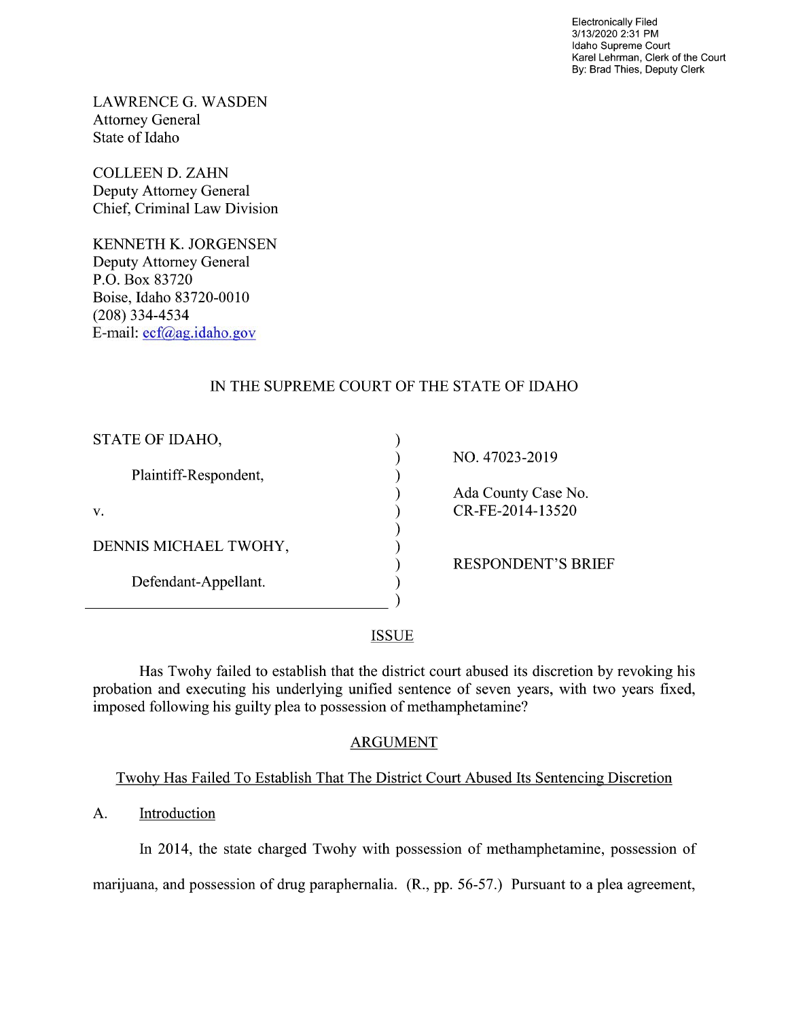Electronically Filed 3/13/2020 2:31 PM Idaho Supreme Court Karel Lehrman, Clerk of the Court By: Brad Thies, Deputy Clerk

LAWRENCE G. WASDEN Attorney General State of Idaho

COLLEEN D. ZAHN Deputy Attorney General Chief, Criminal Law Division

KENNETH K. JORGENSEN Deputy Attorney General P.O. Box 83720 Boise, Idaho 83720-0010 (208) 334—4534 E—mail: ecf@ag.idaho.g0v

# IN THE SUPREME COURT OF THE STATE OF IDAHO

| STATE OF IDAHO,       |                           |
|-----------------------|---------------------------|
|                       | NO. 47023-2019            |
| Plaintiff-Respondent, |                           |
|                       | Ada County Case No.       |
| V.                    | CR-FE-2014-13520          |
|                       |                           |
| DENNIS MICHAEL TWOHY, |                           |
|                       | <b>RESPONDENT'S BRIEF</b> |
| Defendant-Appellant.  |                           |
|                       |                           |
|                       |                           |

### **ISSUE**

Has Twohy failed to establish that the district court abused its discretion by revoking his probation and executing his underlying unified sentence of seven years, with two years fixed, imposed following his guilty plea to possession of methamphetamine?

## ARGUMENT

# Twohy Has Failed To Establish That The District Court Abused Its Sentencing Discretion

## A. Introduction

In 2014, the state charged Twohy with possession of methamphetamine, possession of

marijuana, and possession of drug paraphernalia. (R., pp. 56-57.) Pursuant to a plea agreement,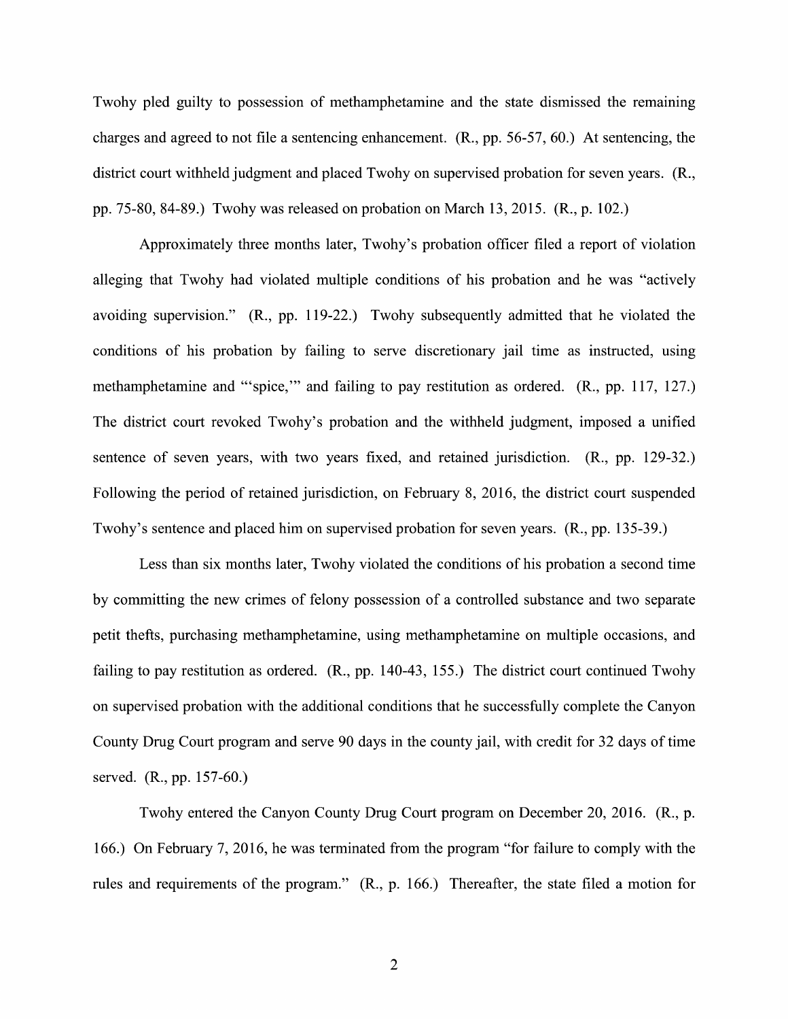Twohy pled guilty to possession of methamphetamine and the state dismissed the remaining charges and agreed to not file a sentencing enhancement.  $(R., pp. 56-57, 60.)$  At sentencing, the district court withheld judgment and placed Twohy on supervised probation for seven years. (R., pp. 75-80, 84-89.) Twohy was released on probation on March 13, 2015. (R., p. 102.)

Approximately three months later, Twohy's probation officer filed a report of violation alleging that Twohy had violated multiple conditions 0f his probation and he was "actively avoiding supervision." (R., pp. 119-22.) Twohy subsequently admitted that he violated the conditions of his probation by failing to serve discretionary jail time as instructed, using methamphetamine and "'spice,"' and failing to pay restitution as ordered. (R., pp. 117, 127.) The district court revoked Twohy's probation and the withheld judgment, imposed a unified sentence of seven years, With two years fixed, and retained jurisdiction. (R., pp. 129-32.) Following the period of retained jurisdiction, on February 8, 2016, the district court suspended Twohy's sentence and placed him on supervised probation for seven years. (R., pp. 135-39.)

Less than six months later, Twohy violated the conditions of his probation a second time by committing the new crimes of felony possession of a controlled substance and two separate petit thefts, purchasing methamphetamine, using methamphetamine 0n multiple occasions, and failing to pay restitution as ordered.  $(R., pp. 140-43, 155.)$  The district court continued Twohy on supervised probation With the additional conditions that he successfully complete the Canyon County Drug Court program and serve 90 days in the county jail, with credit for 32 days of time served. (R., pp. 157-60.)

Twohy entered the Canyon County Drug Court program 0n December 20, 2016. (R., p. 166.) On February 7, 2016, he was terminated from the program "for failure to comply with the rules and requirements of the program." (R., p. 166.) Thereafter, the state filed a motion for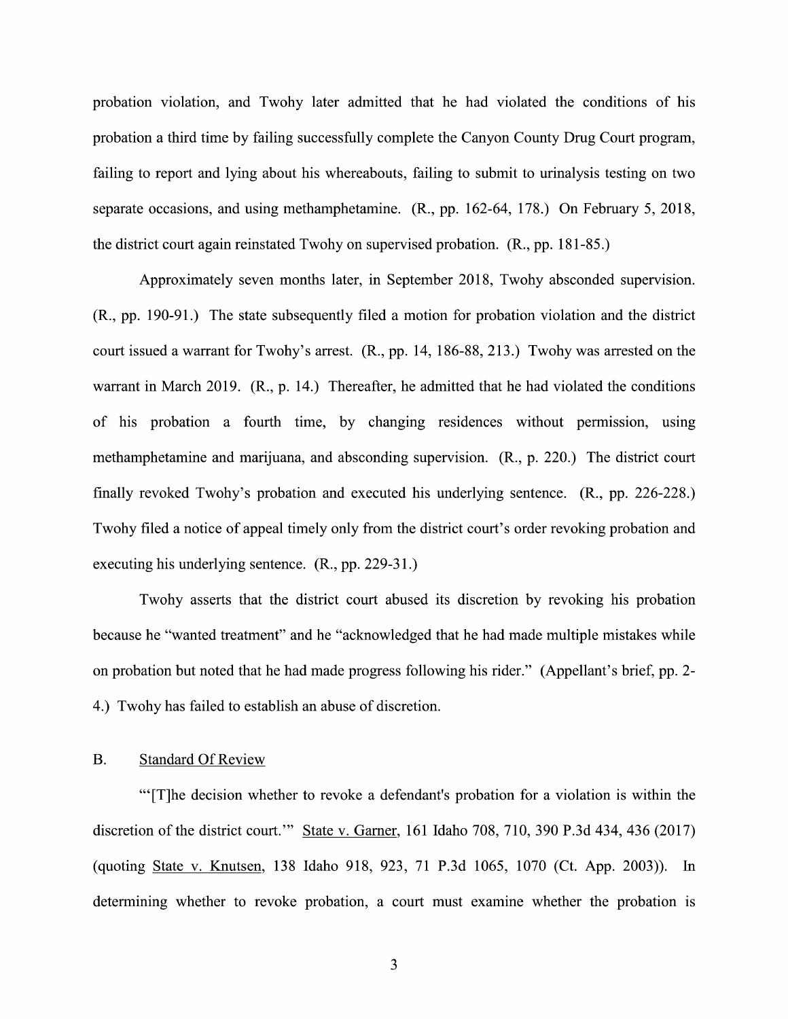probation violation, and Twohy later admitted that he had violated the conditions of his probation a third time by failing successfully complete the Canyon County Drug Court program, failing to report and lying about his whereabouts, failing to submit to urinalysis testing on two separate occasions, and using methamphetamine. (R., pp. 162-64, 178.) On February 5, 2018, the district court again reinstated Twohy on supervised probation. (R., pp. 181-85.)

Approximately seven months later, in September 2018, Twohy absconded supervision.  $(R., pp. 190-91.)$  The state subsequently filed a motion for probation violation and the district court issued a warrant for Twohy's arrest.  $(R., pp. 14, 186-88, 213.)$  Twohy was arrested on the warrant in March 2019. (R., p. 14.) Thereafter, he admitted that he had violated the conditions of his probation a fourth time, by changing residences without permission, using methamphetamine and marijuana, and absconding supervision. (R., p. 220.) The district court finally revoked Twohy's probation and executed his underlying sentence. (R., pp. 226-228.) Twohy filed a notice of appeal timely only from the district court's order revoking probation and executing his underlying sentence. (R., pp. 229-31.)

Twohy asserts that the district court abused its discretion by revoking his probation because he "wanted treatment" and he "acknowledged that he had made multiple mistakes while 0n probation but noted that he had made progress following his rider." (Appellant's brief, pp. 2- 4.) Twohy has failed to establish an abuse of discretion.

#### B. Standard Of Review

"'[T]he decision whether to revoke a defendant's probation for a violation is within the discretion of the district court."" State v. Garner, 161 Idaho 708, 710, 390 P.3d 434, 436 (2017) (quoting State V. Knutsen, 138 Idaho 918, 923, 71 P.3d 1065, 1070 (Ct. App. 2003)). In determining whether to revoke probation, a court must examine whether the probation is

 $\overline{3}$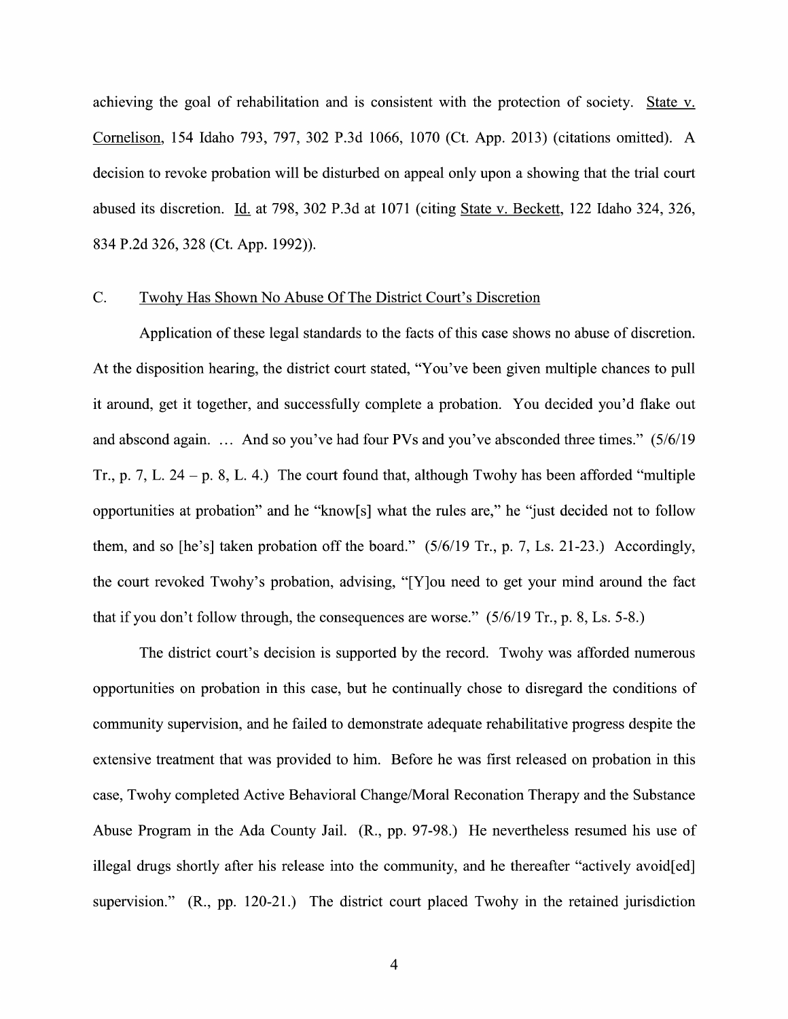achieving the goal of rehabilitation and is consistent with the protection of society. State v. Cornelison, 154 Idaho 793, 797, 302 P.3d 1066, 1070 (Ct. App. 2013) (citations omitted). decision to revoke probation will be disturbed on appeal only upon a showing that the trial court abused its discretion. Id. at 798, 302 P.3d at 1071 (citing State v. Beckett, 122 Idaho 324, 326, 834 P.2d 326, 328 (Ct. App. 1992)).

### C. Twohv Has Shown No Abuse Of The District Court's Discretion

Application of these legal standards to the facts of this case shows no abuse of discretion. At the disposition hearing, the district court stated, "You've been given multiple chances to pull it around, get it together, and successfully complete a probation. You decided you'd flake out and abscond again. ... And so you've had four PVs and you've absconded three times." (5/6/19 Tr., p. 7, L. 24 – p. 8, L. 4.) The court found that, although Twohy has been afforded "multiple" opportunities at probation" and he "know[s] what the rules are," he "just decided not t0 follow them, and so [he's] taken probation off the board." (5/6/19 Tr., p. 7, Ls. 21-23.) Accordingly, the court revoked Twohy's probation, advising, "[Y]ou need to get your mind around the fact that if you don't follow through, the consequences are worse." (5/6/19 Tr., p. 8, Ls. 5-8.)

The district court's decision is supported by the record. Twohy was afforded numerous opportunities 0n probation in this case, but he continually chose to disregard the conditions of community supervision, and he failed to demonstrate adequate rehabilitative progress despite the extensive treatment that was provided to him. Before he was first released on probation in this case, Twohy completed Active Behavioral Change/Moral Reconation Therapy and the Substance Abuse Program in the Ada County Jail. (R., pp. 97-98.) He nevertheless resumed his use of illegal drugs shortly after his release into the community, and he thereafter "actively avoid[ed] supervision." (R., pp. 120-21.) The district court placed Twohy in the retained jurisdiction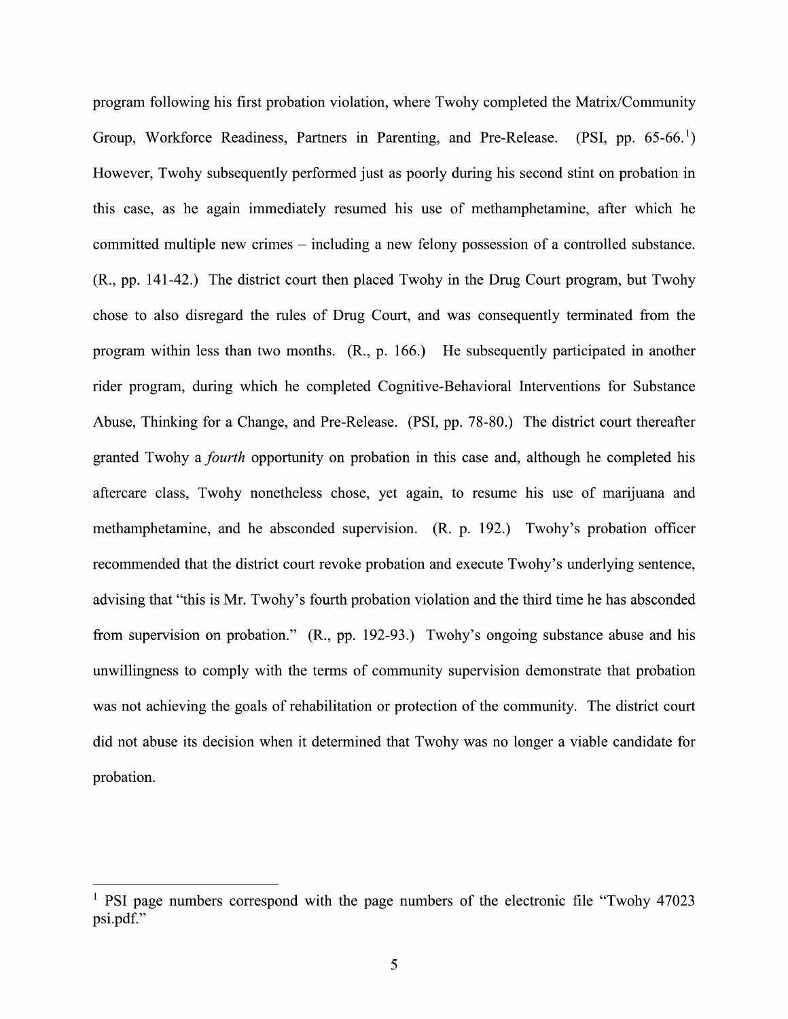program following his first probation violation, where Twohy completed the Matrix/Community Group, Workforce Readiness, Partners in Parenting, and Pre-Release. (PSI, pp.  $65-66$ .) However, Twohy subsequently performed just as poorly during his second stint on probation in this case, as he again immediately resumed his use 0f methamphetamine, after which he committed multiple new crimes – including a new felony possession of a controlled substance. (R., pp. 141-42.) The district court then placed Twohy in the Drug Court program, but Twohy chose t0 also disregard the rules 0f Drug Court, and was consequently terminated from the program Within less than two months. (R., p. 166.) He subsequently participated in another rider program, during Which he completed Cognitive-Behavioral Interventions for Substance Abuse, Thinking for a Change, and Pre-Release. (PSI, pp. 78-80.) The district court thereafter granted Twohy a *fourth* opportunity on probation in this case and, although he completed his aftercare class, Twohy nonetheless chose, yet again, to resume his use of marijuana and methamphetamine, and he absconded supervision. (R. p. 192.) Twohy's probation officer recommended that the district court revoke probation and execute Twohy's underlying sentence, advising that "this is Mr. Twohy's fourth probation violation and the third time he has absconded from supervision 0n probation." (R., pp. 192-93.) Twohy's ongoing substance abuse and his unwillingness to comply with the terms of community supervision demonstrate that probation was not achieving the goals of rehabilitation or protection of the community. The district court did not abuse its decision when it determined that Twohy was no longer a viable candidate for probation.

<sup>&</sup>lt;sup>1</sup> PSI page numbers correspond with the page numbers of the electronic file "Twohy 47023" psi.pdf."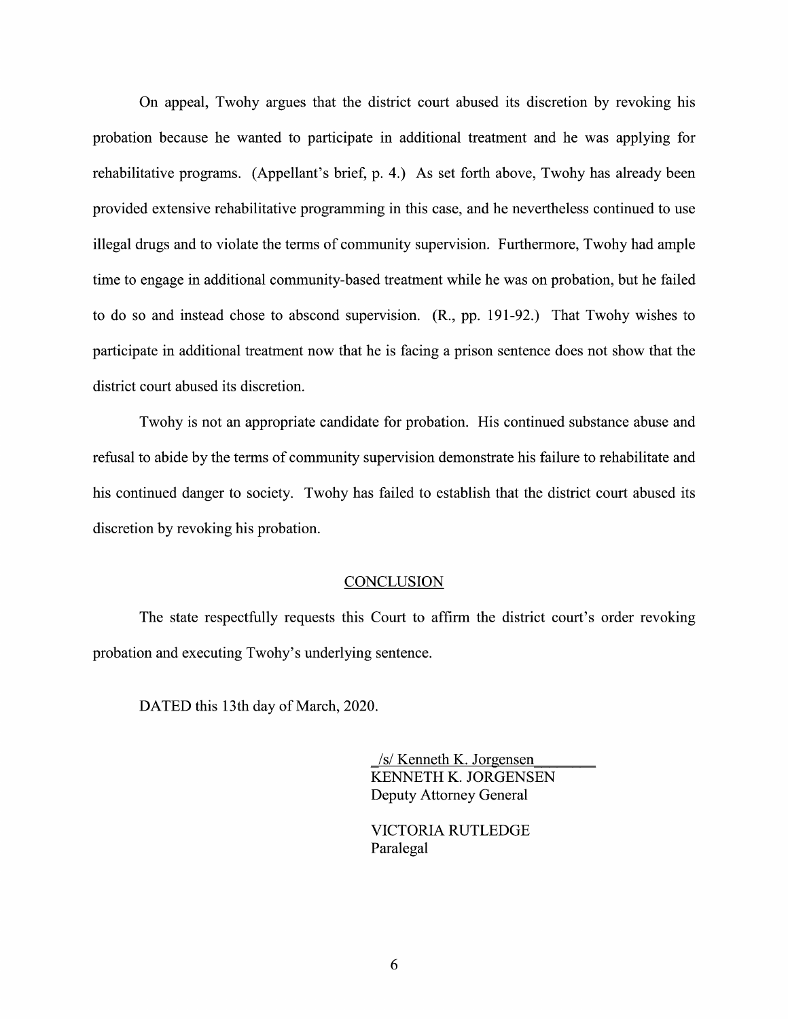On appeal, Twohy argues that the district court abused its discretion by revoking his probation because he wanted to participate in additional treatment and he was applying for rehabilitative programs. (Appellant's brief, p. 4.) As set forth above, Twohy has already been provided extensive rehabilitative programming in this case, and he nevertheless continued to use illegal drugs and to Violate the terms of community supervision. Furthermore, Twohy had ample time to engage in additional community-based treatment while he was on probation, but he failed to do so and instead chose to abscond supervision. (R., pp. 191-92.) That Twohy wishes to participate in additional treatment now that he is facing a prison sentence does not show that the district court abused its discretion.

Twohy is not an appropriate candidate for probation. His continued substance abuse and refusal to abide by the terms of community supervision demonstrate his failure to rehabilitate and his continued danger to society. Twohy has failed to establish that the district court abused its discretion by revoking his probation.

#### **CONCLUSION**

The state respectfully requests this Court to affirm the district court's order revoking probation and executing Twohy's underlying sentence.

DATED this 13th day of March, 2020.

\_/s/ Kenneth K. Jorgensen KENNETH K. JORGENSEN Deputy Attorney General

VICTORIA RUTLEDGE Paralegal